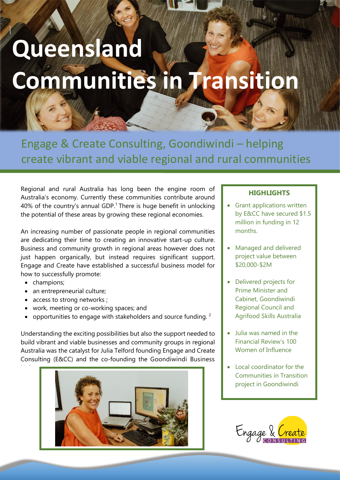# **Queensland Communities in Transition**

Engage & Create Consulting, Goondiwindi – helping create vibrant and viable regional and rural communities

Regional and rural Australia has long been the engine room of Australia's economy. Currently these communities contribute around 40% of the country's annual GDP.<sup>1</sup> There is huge benefit in unlocking the potential of these areas by growing these regional economies.

An increasing number of passionate people in regional communities are dedicating their time to creating an innovative start-up culture. Business and community growth in regional areas however does not just happen organically, but instead requires significant support. Engage and Create have established a successful business model for how to successfully promote:

• champions;

Hub.

- an entrepreneurial culture:
- access to strong networks ;
- work, meeting or co-working spaces; and
- opportunities to engage with stakeholders and source funding.  $2$

Understanding the exciting possibilities but also the support needed to build vibrant and viable businesses and community groups in regional Australia was the catalyst for Julia Telford founding Engage and Create Consulting (E&CC) and the co-founding the Goondiwindi Business



## **HIGHLIGHTS**

- Grant applications written by E&CC have secured \$1.5 million in funding in 12 months.
- Managed and delivered project value between \$20,000-\$2M
- Delivered projects for Prime Minister and Cabinet, Goondiwindi Regional Council and Agrifood Skills Australia
- Julia was named in the Financial Review's 100 Women of Influence
- Local coordinator for the Communities in Transition project in Goondiwindi

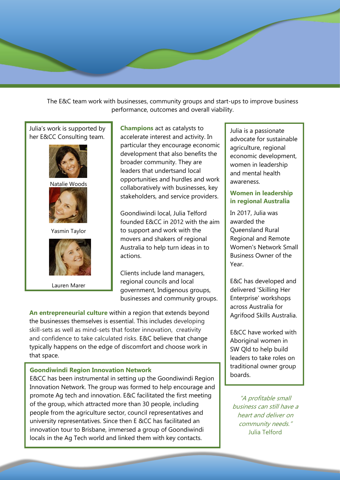The E&C team work with businesses, community groups and start-ups to improve business performance, outcomes and overall viability.

Julia's work is supported by her E&CC Consulting team.



Natalie Woods



Yasmin Taylor



Lauren Marer

**Champions** act as catalysts to accelerate interest and activity. In particular they encourage economic development that also benefits the broader community. They are leaders that undertsand local opportunities and hurdles and work collaboratively with businesses, key stakeholders, and service providers.

Goondiwindi local, Julia Telford founded E&CC in 2012 with the aim to support and work with the movers and shakers of regional Australia to help turn ideas in to actions.

Clients include land managers, regional councils and local government, Indigenous groups, businesses and community groups.

**An entrepreneurial culture** within a region that extends beyond the businesses themselves is essential. This includes developing skill-sets as well as mind-sets that foster innovation, creativity and confidence to take calculated risks. E&C believe that change typically happens on the edge of discomfort and choose work in that space.

### **Goondiwindi Region Innovation Network**

E&CC has been instrumental in setting up the Goondiwindi Region Innovation Network. The group was formed to help encourage and promote Ag tech and innovation. E&C facilitated the first meeting of the group, which attracted more than 30 people, including people from the agriculture sector, council representatives and university representatives. Since then E &CC has facilitated an innovation tour to Brisbane, immersed a group of Goondiwindi locals in the Ag Tech world and linked them with key contacts.

Julia is a passionate advocate for sustainable agriculture, regional economic development, women in leadership and mental health awareness.

## **Women in leadership in regional Australia**

In 2017, Julia was awarded the Queensland Rural Regional and Remote Women's Network Small Business Owner of the Year.

E&C has developed and delivered 'Skilling Her Enterprise' workshops across Australia for Agrifood Skills Australia.

E&CC have worked with Aboriginal women in SW Qld to help build leaders to take roles on traditional owner group boards.

"A profitable small business can still have a heart and deliver on community needs." Julia Telford